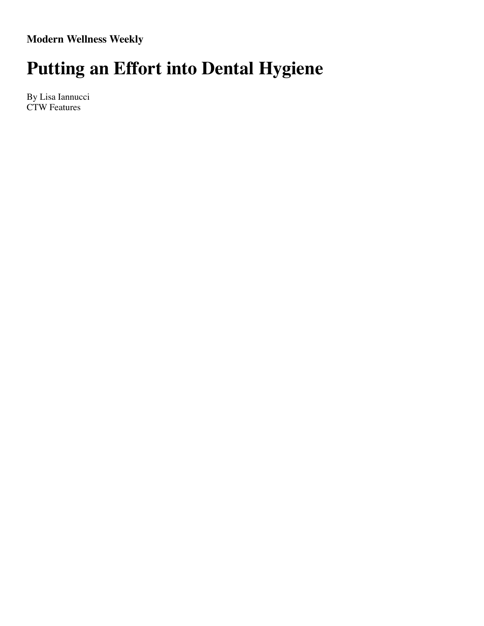**Modern Wellness Weekly**

## **Putting an Effort into Dental Hygiene**

By Lisa Iannucci CTW Features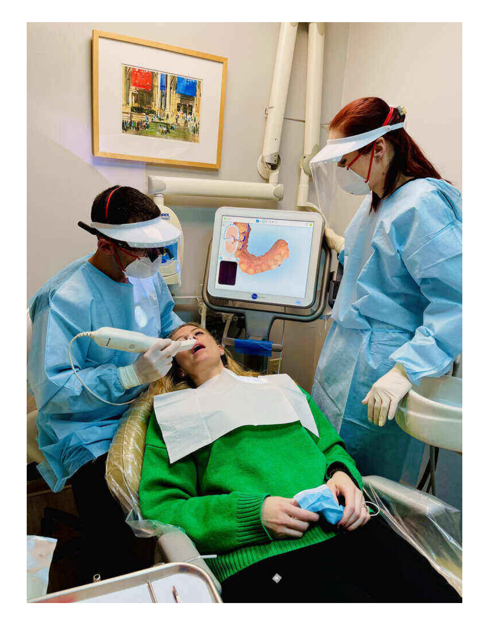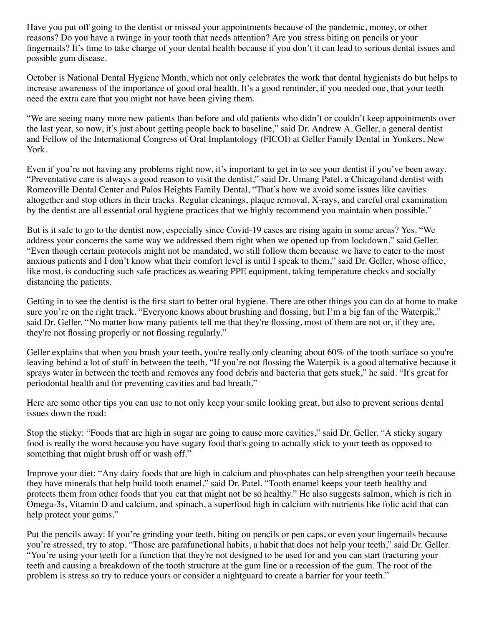Have you put off going to the dentist or missed your appointments because of the pandemic, money, or other reasons? Do you have a twinge in your tooth that needs attention? Are you stress biting on pencils or your fingernails? It's time to take charge of your dental health because if you don't it can lead to serious dental issues and possible gum disease.

October is National Dental Hygiene Month, which not only celebrates the work that dental hygienists do but helps to increase awareness of the importance of good oral health. It's a good reminder, if you needed one, that your teeth need the extra care that you might not have been giving them.

"We are seeing many more new patients than before and old patients who didn't or couldn't keep appointments over the last year, so now, it's just about getting people back to baseline," said Dr. Andrew A. Geller, a general dentist and Fellow of the International Congress of Oral Implantology (FICOI) at Geller Family Dental in Yonkers, New York.

Even if you're not having any problems right now, it's important to get in to see your dentist if you've been away. "Preventative care is always a good reason to visit the dentist," said Dr. Umang Patel, a Chicagoland dentist with Romeoville Dental Center and Palos Heights Family Dental, "That's how we avoid some issues like cavities altogether and stop others in their tracks. Regular cleanings, plaque removal, X-rays, and careful oral examination by the dentist are all essential oral hygiene practices that we highly recommend you maintain when possible."

But is it safe to go to the dentist now, especially since Covid-19 cases are rising again in some areas? Yes. "We address your concerns the same way we addressed them right when we opened up from lockdown," said Geller. "Even though certain protocols might not be mandated, we still follow them because we have to cater to the most anxious patients and I don't know what their comfort level is until I speak to them," said Dr. Geller, whose office, like most, is conducting such safe practices as wearing PPE equipment, taking temperature checks and socially distancing the patients.

Getting in to see the dentist is the first start to better oral hygiene. There are other things you can do at home to make sure you're on the right track. "Everyone knows about brushing and flossing, but I'm a big fan of the Waterpik," said Dr. Geller. "No matter how many patients tell me that they're flossing, most of them are not or, if they are, they're not flossing properly or not flossing regularly."

Geller explains that when you brush your teeth, you're really only cleaning about 60% of the tooth surface so you're leaving behind a lot of stuff in between the teeth. "If you're not flossing the Waterpik is a good alternative because it sprays water in between the teeth and removes any food debris and bacteria that gets stuck," he said. "It's great for periodontal health and for preventing cavities and bad breath."

Here are some other tips you can use to not only keep your smile looking great, but also to prevent serious dental issues down the road:

Stop the sticky: "Foods that are high in sugar are going to cause more cavities," said Dr. Geller. "A sticky sugary food is really the worst because you have sugary food that's going to actually stick to your teeth as opposed to something that might brush off or wash off."

Improve your diet: "Any dairy foods that are high in calcium and phosphates can help strengthen your teeth because they have minerals that help build tooth enamel," said Dr. Patel. "Tooth enamel keeps your teeth healthy and protects them from other foods that you eat that might not be so healthy." He also suggests salmon, which is rich in Omega-3s, Vitamin D and calcium, and spinach, a superfood high in calcium with nutrients like folic acid that can help protect your gums."

Put the pencils away: If you're grinding your teeth, biting on pencils or pen caps, or even your fingernails because you're stressed, try to stop. "Those are parafunctional habits, a habit that does not help your teeth," said Dr. Geller. "You're using your teeth for a function that they're not designed to be used for and you can start fracturing your teeth and causing a breakdown of the tooth structure at the gum line or a recession of the gum. The root of the problem is stress so try to reduce yours or consider a nightguard to create a barrier for your teeth."